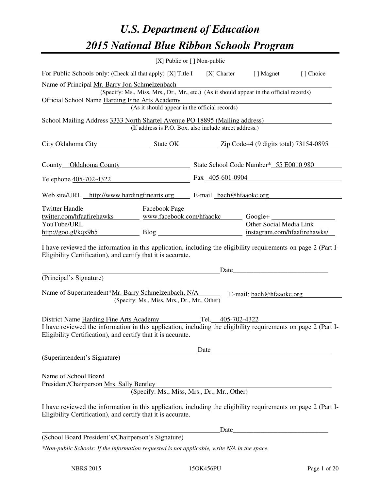# *U.S. Department of Education 2015 National Blue Ribbon Schools Program*

|                                                                                                                                                                                                                                             | [X] Public or [] Non-public                                                                                                                                    |      |                          |                              |
|---------------------------------------------------------------------------------------------------------------------------------------------------------------------------------------------------------------------------------------------|----------------------------------------------------------------------------------------------------------------------------------------------------------------|------|--------------------------|------------------------------|
| For Public Schools only: (Check all that apply) [X] Title I                                                                                                                                                                                 |                                                                                                                                                                |      | [X] Charter [] Magnet    | [ ] Choice                   |
| Name of Principal Mr. Barry Jon Schmelzenbach<br>Official School Name Harding Fine Arts Academy                                                                                                                                             | (Specify: Ms., Miss, Mrs., Dr., Mr., etc.) (As it should appear in the official records)<br>Fine Arts Academy<br>(As it should appear in the official records) |      |                          |                              |
| School Mailing Address 3333 North Shartel Avenue PO 18895 (Mailing address)                                                                                                                                                                 | (If address is P.O. Box, also include street address.)                                                                                                         |      |                          |                              |
| City Oklahoma City State OK Zip Code+4 (9 digits total) 73154-0895                                                                                                                                                                          |                                                                                                                                                                |      |                          |                              |
| County Oklahoma County State School Code Number* 55 E0010 980                                                                                                                                                                               |                                                                                                                                                                |      |                          |                              |
| Telephone <u>405-702-4322</u> Fax 405-601-0904                                                                                                                                                                                              |                                                                                                                                                                |      |                          |                              |
| Web site/URL http://www.hardingfinearts.org E-mail bach@hfaaokc.org                                                                                                                                                                         |                                                                                                                                                                |      |                          |                              |
| <b>Twitter Handle</b><br>twitter.com/hfaafirehawks<br>YouTube/URL                                                                                                                                                                           | Facebook Page<br>www.facebook.com/hfaaokc_______                                                                                                               |      | Other Social Media Link  | instagram.com/hfaafirehawks/ |
| I have reviewed the information in this application, including the eligibility requirements on page 2 (Part I-<br>Eligibility Certification), and certify that it is accurate.                                                              |                                                                                                                                                                |      |                          |                              |
| (Principal's Signature)                                                                                                                                                                                                                     |                                                                                                                                                                |      | Date                     |                              |
| Name of Superintendent*Mr. Barry Schmelzenbach, N/A                                                                                                                                                                                         | (Specify: Ms., Miss, Mrs., Dr., Mr., Other)                                                                                                                    |      | E-mail: bach@hfaaokc.org |                              |
| District Name Harding Fine Arts Academy Tel. 405-702-4322<br>I have reviewed the information in this application, including the eligibility requirements on page 2 (Part I-<br>Eligibility Certification), and certify that it is accurate. |                                                                                                                                                                |      |                          |                              |
|                                                                                                                                                                                                                                             |                                                                                                                                                                | Date |                          |                              |
| (Superintendent's Signature)                                                                                                                                                                                                                |                                                                                                                                                                |      |                          |                              |
| Name of School Board<br>President/Chairperson Mrs. Sally Bentley                                                                                                                                                                            | y benuey<br>(Specify: Ms., Miss, Mrs., Dr., Mr., Other)                                                                                                        |      |                          |                              |
| I have reviewed the information in this application, including the eligibility requirements on page 2 (Part I-<br>Eligibility Certification), and certify that it is accurate.                                                              |                                                                                                                                                                |      |                          |                              |
|                                                                                                                                                                                                                                             |                                                                                                                                                                | Date |                          |                              |
| (School Board President's/Chairperson's Signature)                                                                                                                                                                                          |                                                                                                                                                                |      |                          |                              |
| *Non-public Schools: If the information requested is not applicable, write N/A in the space.                                                                                                                                                |                                                                                                                                                                |      |                          |                              |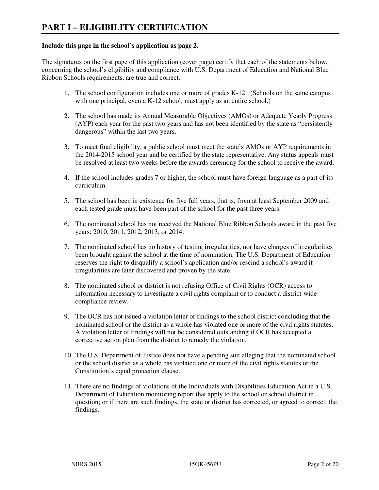#### **Include this page in the school's application as page 2.**

The signatures on the first page of this application (cover page) certify that each of the statements below, concerning the school's eligibility and compliance with U.S. Department of Education and National Blue Ribbon Schools requirements, are true and correct.

- 1. The school configuration includes one or more of grades K-12. (Schools on the same campus with one principal, even a K-12 school, must apply as an entire school.)
- 2. The school has made its Annual Measurable Objectives (AMOs) or Adequate Yearly Progress (AYP) each year for the past two years and has not been identified by the state as "persistently dangerous" within the last two years.
- 3. To meet final eligibility, a public school must meet the state's AMOs or AYP requirements in the 2014-2015 school year and be certified by the state representative. Any status appeals must be resolved at least two weeks before the awards ceremony for the school to receive the award.
- 4. If the school includes grades 7 or higher, the school must have foreign language as a part of its curriculum.
- 5. The school has been in existence for five full years, that is, from at least September 2009 and each tested grade must have been part of the school for the past three years.
- 6. The nominated school has not received the National Blue Ribbon Schools award in the past five years: 2010, 2011, 2012, 2013, or 2014.
- 7. The nominated school has no history of testing irregularities, nor have charges of irregularities been brought against the school at the time of nomination. The U.S. Department of Education reserves the right to disqualify a school's application and/or rescind a school's award if irregularities are later discovered and proven by the state.
- 8. The nominated school or district is not refusing Office of Civil Rights (OCR) access to information necessary to investigate a civil rights complaint or to conduct a district-wide compliance review.
- 9. The OCR has not issued a violation letter of findings to the school district concluding that the nominated school or the district as a whole has violated one or more of the civil rights statutes. A violation letter of findings will not be considered outstanding if OCR has accepted a corrective action plan from the district to remedy the violation.
- 10. The U.S. Department of Justice does not have a pending suit alleging that the nominated school or the school district as a whole has violated one or more of the civil rights statutes or the Constitution's equal protection clause.
- 11. There are no findings of violations of the Individuals with Disabilities Education Act in a U.S. Department of Education monitoring report that apply to the school or school district in question; or if there are such findings, the state or district has corrected, or agreed to correct, the findings.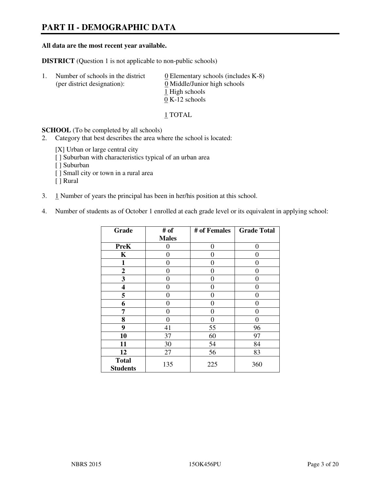# **PART II - DEMOGRAPHIC DATA**

#### **All data are the most recent year available.**

**DISTRICT** (Question 1 is not applicable to non-public schools)

| -1. | Number of schools in the district<br>(per district designation): | $\underline{0}$ Elementary schools (includes K-8)<br>0 Middle/Junior high schools |
|-----|------------------------------------------------------------------|-----------------------------------------------------------------------------------|
|     |                                                                  | 1 High schools                                                                    |
|     |                                                                  | $0 K-12$ schools                                                                  |

1 TOTAL

**SCHOOL** (To be completed by all schools)

- 2. Category that best describes the area where the school is located:
	- [X] Urban or large central city
	- [ ] Suburban with characteristics typical of an urban area
	- [ ] Suburban
	- [ ] Small city or town in a rural area
	- [ ] Rural
- 3. 1 Number of years the principal has been in her/his position at this school.
- 4. Number of students as of October 1 enrolled at each grade level or its equivalent in applying school:

| Grade                           | # of         | # of Females | <b>Grade Total</b> |
|---------------------------------|--------------|--------------|--------------------|
|                                 | <b>Males</b> |              |                    |
| <b>PreK</b>                     | 0            | $\theta$     | $\theta$           |
| K                               | 0            | 0            | 0                  |
| 1                               | 0            | 0            | 0                  |
| $\mathbf{2}$                    | 0            | 0            | 0                  |
| 3                               | 0            | 0            | 0                  |
| 4                               | 0            | 0            | 0                  |
| 5                               | 0            | 0            | $\theta$           |
| 6                               | 0            | 0            | 0                  |
| 7                               | 0            | 0            | 0                  |
| 8                               | 0            | 0            | 0                  |
| 9                               | 41           | 55           | 96                 |
| 10                              | 37           | 60           | 97                 |
| 11                              | 30           | 54           | 84                 |
| 12                              | 27           | 56           | 83                 |
| <b>Total</b><br><b>Students</b> | 135          | 225          | 360                |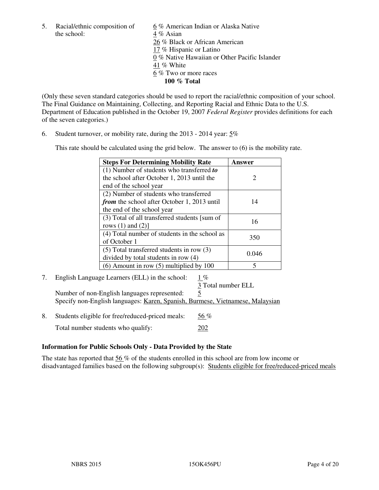the school:  $4\%$  Asian

5. Racial/ethnic composition of  $\frac{6}{9}$ % American Indian or Alaska Native 26 % Black or African American 17 % Hispanic or Latino 0 % Native Hawaiian or Other Pacific Islander 41 % White 6 % Two or more races **100 % Total** 

(Only these seven standard categories should be used to report the racial/ethnic composition of your school. The Final Guidance on Maintaining, Collecting, and Reporting Racial and Ethnic Data to the U.S. Department of Education published in the October 19, 2007 *Federal Register* provides definitions for each of the seven categories.)

6. Student turnover, or mobility rate, during the 2013 - 2014 year: 5%

This rate should be calculated using the grid below. The answer to (6) is the mobility rate.

| <b>Steps For Determining Mobility Rate</b>         | Answer                      |  |
|----------------------------------------------------|-----------------------------|--|
| $(1)$ Number of students who transferred to        |                             |  |
| the school after October 1, 2013 until the         | $\mathcal{D}_{\mathcal{L}}$ |  |
| end of the school year                             |                             |  |
| (2) Number of students who transferred             |                             |  |
| <i>from</i> the school after October 1, 2013 until | 14                          |  |
| the end of the school year                         |                             |  |
| (3) Total of all transferred students [sum of      | 16                          |  |
| rows $(1)$ and $(2)$ ]                             |                             |  |
| (4) Total number of students in the school as      | 350                         |  |
| of October 1                                       |                             |  |
| $(5)$ Total transferred students in row $(3)$      |                             |  |
| divided by total students in row (4)               | 0.046                       |  |
| $(6)$ Amount in row $(5)$ multiplied by 100        | 5                           |  |

7. English Language Learners (ELL) in the school: 1 %

3 Total number ELL

Number of non-English languages represented: 5 Specify non-English languages: Karen, Spanish, Burmese, Vietnamese, Malaysian

8. Students eligible for free/reduced-priced meals:  $56\%$ Total number students who qualify: 202

## **Information for Public Schools Only - Data Provided by the State**

The state has reported that  $56\%$  of the students enrolled in this school are from low income or disadvantaged families based on the following subgroup(s): Students eligible for free/reduced-priced meals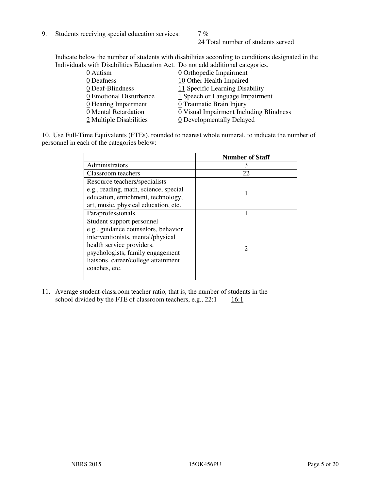9. Students receiving special education services:  $\frac{7}{6}$ 

24 Total number of students served

Indicate below the number of students with disabilities according to conditions designated in the Individuals with Disabilities Education Act. Do not add additional categories.

| 0 Autism                           | 0 Orthopedic Impairment                 |
|------------------------------------|-----------------------------------------|
| 0 Deafness                         | 10 Other Health Impaired                |
| 0 Deaf-Blindness                   | 11 Specific Learning Disability         |
| 0 Emotional Disturbance            | 1 Speech or Language Impairment         |
| $\underline{0}$ Hearing Impairment | 0 Traumatic Brain Injury                |
| 0 Mental Retardation               | 0 Visual Impairment Including Blindness |
| 2 Multiple Disabilities            | 0 Developmentally Delayed               |
|                                    |                                         |

10. Use Full-Time Equivalents (FTEs), rounded to nearest whole numeral, to indicate the number of personnel in each of the categories below:

|                                       | <b>Number of Staff</b> |
|---------------------------------------|------------------------|
| Administrators                        | 3                      |
| Classroom teachers                    | 22                     |
| Resource teachers/specialists         |                        |
| e.g., reading, math, science, special |                        |
| education, enrichment, technology,    |                        |
| art, music, physical education, etc.  |                        |
| Paraprofessionals                     |                        |
| Student support personnel             |                        |
| e.g., guidance counselors, behavior   |                        |
| interventionists, mental/physical     |                        |
| health service providers,             | 2                      |
| psychologists, family engagement      |                        |
| liaisons, career/college attainment   |                        |
| coaches, etc.                         |                        |
|                                       |                        |

11. Average student-classroom teacher ratio, that is, the number of students in the school divided by the FTE of classroom teachers, e.g.,  $22:1$  16:1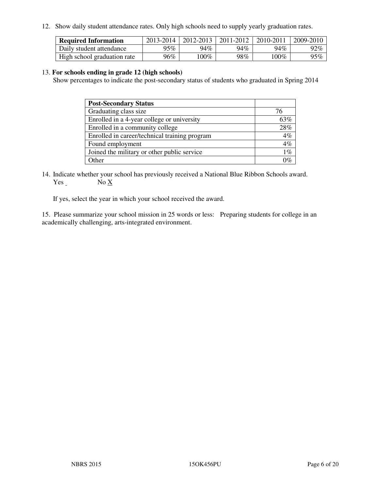12. Show daily student attendance rates. Only high schools need to supply yearly graduation rates.

| <b>Required Information</b> | 2013-2014 | 2012-2013 | 2011-2012 | 2010-2011 | 2009-2010 |
|-----------------------------|-----------|-----------|-----------|-----------|-----------|
| Daily student attendance    | 95%       | 94%       | 94%       | 94%       | 92%       |
| High school graduation rate | 96%       | $.00\%$   | 98%       | 100%      | 95%       |

#### 13. **For schools ending in grade 12 (high schools)**

Show percentages to indicate the post-secondary status of students who graduated in Spring 2014

| <b>Post-Secondary Status</b>                  |       |
|-----------------------------------------------|-------|
| Graduating class size                         | 76    |
| Enrolled in a 4-year college or university    | 63%   |
| Enrolled in a community college               | 28%   |
| Enrolled in career/technical training program | 4%    |
| Found employment                              | 4%    |
| Joined the military or other public service   | $1\%$ |
| Other                                         | 0/    |

14. Indicate whether your school has previously received a National Blue Ribbon Schools award. Yes No X

If yes, select the year in which your school received the award.

15. Please summarize your school mission in 25 words or less: Preparing students for college in an academically challenging, arts-integrated environment.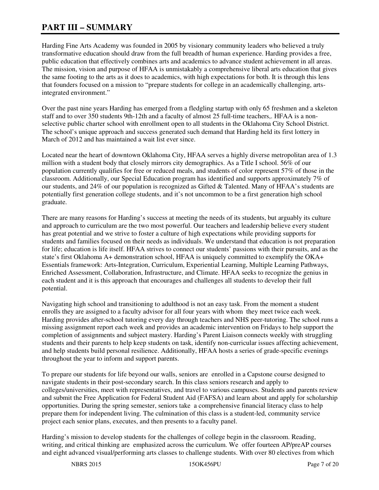# **PART III – SUMMARY**

Harding Fine Arts Academy was founded in 2005 by visionary community leaders who believed a truly transformative education should draw from the full breadth of human experience. Harding provides a free, public education that effectively combines arts and academics to advance student achievement in all areas. The mission, vision and purpose of HFAA is unmistakably a comprehensive liberal arts education that gives the same footing to the arts as it does to academics, with high expectations for both. It is through this lens that founders focused on a mission to "prepare students for college in an academically challenging, artsintegrated environment."

Over the past nine years Harding has emerged from a fledgling startup with only 65 freshmen and a skeleton staff and to over 350 students 9th-12th and a faculty of almost 25 full-time teachers,. HFAA is a nonselective public charter school with enrollment open to all students in the Oklahoma City School District. The school's unique approach and success generated such demand that Harding held its first lottery in March of 2012 and has maintained a wait list ever since.

Located near the heart of downtown Oklahoma City, HFAA serves a highly diverse metropolitan area of 1.3 million with a student body that closely mirrors city demographics. As a Title I school. 56% of our population currently qualifies for free or reduced meals, and students of color represent 57% of those in the classroom. Additionally, our Special Education program has identified and supports approximately 7% of our students, and 24% of our population is recognized as Gifted & Talented. Many of HFAA's students are potentially first generation college students, and it's not uncommon to be a first generation high school graduate.

There are many reasons for Harding's success at meeting the needs of its students, but arguably its culture and approach to curriculum are the two most powerful. Our teachers and leadership believe every student has great potential and we strive to foster a culture of high expectations while providing supports for students and families focused on their needs as individuals. We understand that education is not preparation for life; education is life itself. HFAA strives to connect our students' passions with their pursuits, and as the state's first Oklahoma A+ demonstration school, HFAA is uniquely committed to exemplify the OKA+ Essentials framework: Arts-Integration, Curriculum, Experiential Learning, Multiple Learning Pathways, Enriched Assessment, Collaboration, Infrastructure, and Climate. HFAA seeks to recognize the genius in each student and it is this approach that encourages and challenges all students to develop their full potential.

Navigating high school and transitioning to adulthood is not an easy task. From the moment a student enrolls they are assigned to a faculty advisor for all four years with whom they meet twice each week. Harding provides after-school tutoring every day through teachers and NHS peer-tutoring. The school runs a missing assignment report each week and provides an academic intervention on Fridays to help support the completion of assignments and subject mastery. Harding's Parent Liaison connects weekly with struggling students and their parents to help keep students on task, identify non-curricular issues affecting achievement, and help students build personal resilience. Additionally, HFAA hosts a series of grade-specific evenings throughout the year to inform and support parents.

To prepare our students for life beyond our walls, seniors are enrolled in a Capstone course designed to navigate students in their post-secondary search. In this class seniors research and apply to colleges/universities, meet with representatives, and travel to various campuses. Students and parents review and submit the Free Application for Federal Student Aid (FAFSA) and learn about and apply for scholarship opportunities. During the spring semester, seniors take a comprehensive financial literacy class to help prepare them for independent living. The culmination of this class is a student-led, community service project each senior plans, executes, and then presents to a faculty panel.

Harding's mission to develop students for the challenges of college begin in the classroom. Reading, writing, and critical thinking are emphasized across the curriculum. We offer fourteen AP/preAP courses and eight advanced visual/performing arts classes to challenge students. With over 80 electives from which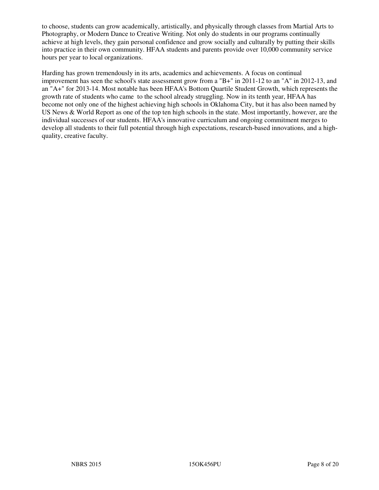to choose, students can grow academically, artistically, and physically through classes from Martial Arts to Photography, or Modern Dance to Creative Writing. Not only do students in our programs continually achieve at high levels, they gain personal confidence and grow socially and culturally by putting their skills into practice in their own community. HFAA students and parents provide over 10,000 community service hours per year to local organizations.

Harding has grown tremendously in its arts, academics and achievements. A focus on continual improvement has seen the school's state assessment grow from a "B+" in 2011-12 to an "A" in 2012-13, and an "A+" for 2013-14. Most notable has been HFAA's Bottom Quartile Student Growth, which represents the growth rate of students who came to the school already struggling. Now in its tenth year, HFAA has become not only one of the highest achieving high schools in Oklahoma City, but it has also been named by US News & World Report as one of the top ten high schools in the state. Most importantly, however, are the individual successes of our students. HFAA's innovative curriculum and ongoing commitment merges to develop all students to their full potential through high expectations, research-based innovations, and a highquality, creative faculty.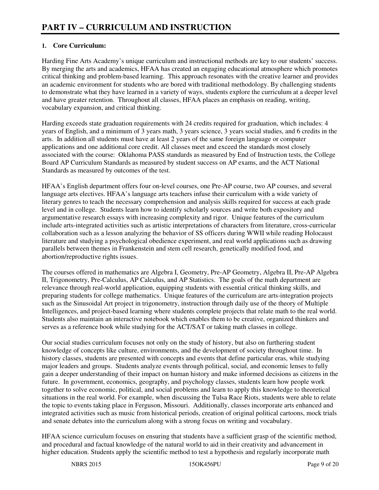# **1. Core Curriculum:**

Harding Fine Arts Academy's unique curriculum and instructional methods are key to our students' success. By merging the arts and academics, HFAA has created an engaging educational atmosphere which promotes critical thinking and problem-based learning. This approach resonates with the creative learner and provides an academic environment for students who are bored with traditional methodology. By challenging students to demonstrate what they have learned in a variety of ways, students explore the curriculum at a deeper level and have greater retention. Throughout all classes, HFAA places an emphasis on reading, writing, vocabulary expansion, and critical thinking.

Harding exceeds state graduation requirements with 24 credits required for graduation, which includes: 4 years of English, and a minimum of 3 years math, 3 years science, 3 years social studies, and 6 credits in the arts. In addition all students must have at least 2 years of the same foreign language or computer applications and one additional core credit. All classes meet and exceed the standards most closely associated with the course: Oklahoma PASS standards as measured by End of Instruction tests, the College Board AP Curriculum Standards as measured by student success on AP exams, and the ACT National Standards as measured by outcomes of the test.

HFAA's English department offers four on-level courses, one Pre-AP course, two AP courses, and several language arts electives. HFAA's language arts teachers infuse their curriculum with a wide variety of literary genres to teach the necessary comprehension and analysis skills required for success at each grade level and in college. Students learn how to identify scholarly sources and write both expository and argumentative research essays with increasing complexity and rigor. Unique features of the curriculum include arts-integrated activities such as artistic interpretations of characters from literature, cross-curricular collaboration such as a lesson analyzing the behavior of SS officers during WWII while reading Holocaust literature and studying a psychological obedience experiment, and real world applications such as drawing parallels between themes in Frankenstein and stem cell research, genetically modified food, and abortion/reproductive rights issues.

The courses offered in mathematics are Algebra I, Geometry, Pre-AP Geometry, Algebra II, Pre-AP Algebra II, Trigonometry, Pre-Calculus, AP Calculus, and AP Statistics. The goals of the math department are relevance through real-world application, equipping students with essential critical thinking skills, and preparing students for college mathematics. Unique features of the curriculum are arts-integration projects such as the Sinusoidal Art project in trigonometry, instruction through daily use of the theory of Multiple Intelligences, and project-based learning where students complete projects that relate math to the real world. Students also maintain an interactive notebook which enables them to be creative, organized thinkers and serves as a reference book while studying for the ACT/SAT or taking math classes in college.

Our social studies curriculum focuses not only on the study of history, but also on furthering student knowledge of concepts like culture, environments, and the development of society throughout time. In history classes, students are presented with concepts and events that define particular eras, while studying major leaders and groups. Students analyze events through political, social, and economic lenses to fully gain a deeper understanding of their impact on human history and make informed decisions as citizens in the future. In government, economics, geography, and psychology classes, students learn how people work together to solve economic, political, and social problems and learn to apply this knowledge to theoretical situations in the real world. For example, when discussing the Tulsa Race Riots, students were able to relate the topic to events taking place in Ferguson, Missouri. Additionally, classes incorporate arts enhanced and integrated activities such as music from historical periods, creation of original political cartoons, mock trials and senate debates into the curriculum along with a strong focus on writing and vocabulary.

HFAA science curriculum focuses on ensuring that students have a sufficient grasp of the scientific method, and procedural and factual knowledge of the natural world to aid in their creativity and advancement in higher education. Students apply the scientific method to test a hypothesis and regularly incorporate math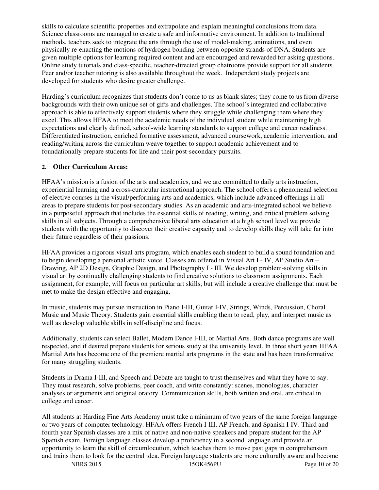skills to calculate scientific properties and extrapolate and explain meaningful conclusions from data. Science classrooms are managed to create a safe and informative environment. In addition to traditional methods, teachers seek to integrate the arts through the use of model-making, animations, and even physically re-enacting the motions of hydrogen bonding between opposite strands of DNA. Students are given multiple options for learning required content and are encouraged and rewarded for asking questions. Online study tutorials and class-specific, teacher-directed group chatrooms provide support for all students. Peer and/or teacher tutoring is also available throughout the week. Independent study projects are developed for students who desire greater challenge.

Harding's curriculum recognizes that students don't come to us as blank slates; they come to us from diverse backgrounds with their own unique set of gifts and challenges. The school's integrated and collaborative approach is able to effectively support students where they struggle while challenging them where they excel. This allows HFAA to meet the academic needs of the individual student while maintaining high expectations and clearly defined, school-wide learning standards to support college and career readiness. Differentiated instruction, enriched formative assessment, advanced coursework, academic intervention, and reading/writing across the curriculum weave together to support academic achievement and to foundationally prepare students for life and their post-secondary pursuits.

## **2. Other Curriculum Areas:**

HFAA's mission is a fusion of the arts and academics, and we are committed to daily arts instruction, experiential learning and a cross-curricular instructional approach. The school offers a phenomenal selection of elective courses in the visual/performing arts and academics, which include advanced offerings in all areas to prepare students for post-secondary studies. As an academic and arts-integrated school we believe in a purposeful approach that includes the essential skills of reading, writing, and critical problem solving skills in all subjects. Through a comprehensive liberal arts education at a high school level we provide students with the opportunity to discover their creative capacity and to develop skills they will take far into their future regardless of their passions.

HFAA provides a rigorous visual arts program, which enables each student to build a sound foundation and to begin developing a personal artistic voice. Classes are offered in Visual Art I - IV, AP Studio Art – Drawing, AP 2D Design, Graphic Design, and Photography I - III. We develop problem-solving skills in visual art by continually challenging students to find creative solutions to classroom assignments. Each assignment, for example, will focus on particular art skills, but will include a creative challenge that must be met to make the design effective and engaging.

In music, students may pursue instruction in Piano I-III, Guitar I-IV, Strings, Winds, Percussion, Choral Music and Music Theory. Students gain essential skills enabling them to read, play, and interpret music as well as develop valuable skills in self-discipline and focus.

Additionally, students can select Ballet, Modern Dance I-III, or Martial Arts. Both dance programs are well respected, and if desired prepare students for serious study at the university level. In three short years HFAA Martial Arts has become one of the premiere martial arts programs in the state and has been transformative for many struggling students.

Students in Drama I-III, and Speech and Debate are taught to trust themselves and what they have to say. They must research, solve problems, peer coach, and write constantly: scenes, monologues, character analyses or arguments and original oratory. Communication skills, both written and oral, are critical in college and career.

All students at Harding Fine Arts Academy must take a minimum of two years of the same foreign language or two years of computer technology. HFAA offers French I-III, AP French, and Spanish I-IV. Third and fourth year Spanish classes are a mix of native and non-native speakers and prepare student for the AP Spanish exam. Foreign language classes develop a proficiency in a second language and provide an opportunity to learn the skill of circumlocution, which teaches them to move past gaps in comprehension and trains them to look for the central idea. Foreign language students are more culturally aware and become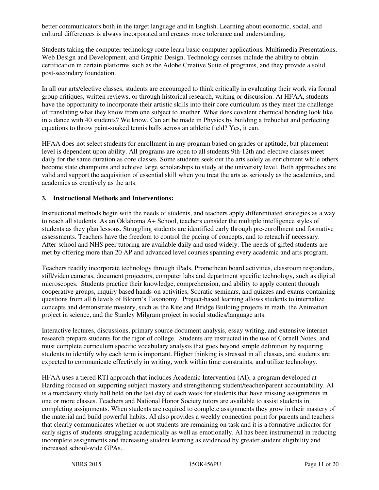better communicators both in the target language and in English. Learning about economic, social, and cultural differences is always incorporated and creates more tolerance and understanding.

Students taking the computer technology route learn basic computer applications, Multimedia Presentations, Web Design and Development, and Graphic Design. Technology courses include the ability to obtain certification in certain platforms such as the Adobe Creative Suite of programs, and they provide a solid post-secondary foundation.

In all our arts/elective classes, students are encouraged to think critically in evaluating their work via formal group critiques, written reviews, or through historical research, writing or discussion. At HFAA, students have the opportunity to incorporate their artistic skills into their core curriculum as they meet the challenge of translating what they know from one subject to another. What does covalent chemical bonding look like in a dance with 40 students? We know. Can art be made in Physics by building a trebuchet and perfecting equations to throw paint-soaked tennis balls across an athletic field? Yes, it can.

HFAA does not select students for enrollment in any program based on grades or aptitude, but placement level is dependent upon ability. All programs are open to all students 9th-12th and elective classes meet daily for the same duration as core classes. Some students seek out the arts solely as enrichment while others become state champions and achieve large scholarships to study at the university level. Both approaches are valid and support the acquisition of essential skill when you treat the arts as seriously as the academics, and academics as creatively as the arts.

#### **3. Instructional Methods and Interventions:**

Instructional methods begin with the needs of students, and teachers apply differentiated strategies as a way to reach all students. As an Oklahoma A+ School, teachers consider the multiple intelligence styles of students as they plan lessons. Struggling students are identified early through pre-enrollment and formative assessments. Teachers have the freedom to control the pacing of concepts, and to reteach if necessary. After-school and NHS peer tutoring are available daily and used widely. The needs of gifted students are met by offering more than 20 AP and advanced level courses spanning every academic and arts program.

Teachers readily incorporate technology through iPads, Promethean board activities, classroom responders, still/video cameras, document projectors, computer labs and department specific technology, such as digital microscopes. Students practice their knowledge, comprehension, and ability to apply content through cooperative groups, inquiry based hands-on activities, Socratic seminars, and quizzes and exams containing questions from all 6 levels of Bloom's Taxonomy. Project-based learning allows students to internalize concepts and demonstrate mastery, such as the Kite and Bridge Building projects in math, the Animation project in science, and the Stanley Milgram project in social studies/language arts.

Interactive lectures, discussions, primary source document analysis, essay writing, and extensive internet research prepare students for the rigor of college. Students are instructed in the use of Cornell Notes, and must complete curriculum specific vocabulary analysis that goes beyond simple definition by requiring students to identify why each term is important. Higher thinking is stressed in all classes, and students are expected to communicate effectively in writing, work within time constraints, and utilize technology.

HFAA uses a tiered RTI approach that includes Academic Intervention (AI), a program developed at Harding focused on supporting subject mastery and strengthening student/teacher/parent accountability. AI is a mandatory study hall held on the last day of each week for students that have missing assignments in one or more classes. Teachers and National Honor Society tutors are available to assist students in completing assignments. When students are required to complete assignments they grow in their mastery of the material and build powerful habits. AI also provides a weekly connection point for parents and teachers that clearly communicates whether or not students are remaining on task and it is a formative indicator for early signs of students struggling academically as well as emotionally. AI has been instrumental in reducing incomplete assignments and increasing student learning as evidenced by greater student eligibility and increased school-wide GPAs.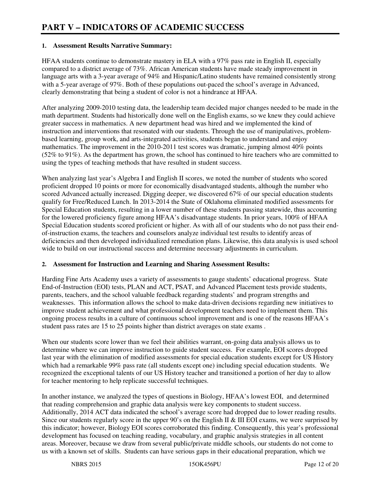#### **1. Assessment Results Narrative Summary:**

HFAA students continue to demonstrate mastery in ELA with a 97% pass rate in English II, especially compared to a district average of 73%. African American students have made steady improvement in language arts with a 3-year average of 94% and Hispanic/Latino students have remained consistently strong with a 5-year average of 97%. Both of these populations out-paced the school's average in Advanced, clearly demonstrating that being a student of color is not a hindrance at HFAA.

After analyzing 2009-2010 testing data, the leadership team decided major changes needed to be made in the math department. Students had historically done well on the English exams, so we knew they could achieve greater success in mathematics. A new department head was hired and we implemented the kind of instruction and interventions that resonated with our students. Through the use of manipulatives, problembased learning, group work, and arts-integrated activities, students began to understand and enjoy mathematics. The improvement in the 2010-2011 test scores was dramatic, jumping almost 40% points (52% to 91%). As the department has grown, the school has continued to hire teachers who are committed to using the types of teaching methods that have resulted in student success.

When analyzing last year's Algebra I and English II scores, we noted the number of students who scored proficient dropped 10 points or more for economically disadvantaged students, although the number who scored Advanced actually increased. Digging deeper, we discovered 67% of our special education students qualify for Free/Reduced Lunch. In 2013-2014 the State of Oklahoma eliminated modified assessments for Special Education students, resulting in a lower number of these students passing statewide, thus accounting for the lowered proficiency figure among HFAA's disadvantage students. In prior years, 100% of HFAA Special Education students scored proficient or higher. As with all of our students who do not pass their endof-instruction exams, the teachers and counselors analyze individual test results to identify areas of deficiencies and then developed individualized remediation plans. Likewise, this data analysis is used school wide to build on our instructional success and determine necessary adjustments in curriculum.

## **2. Assessment for Instruction and Learning and Sharing Assessment Results:**

Harding Fine Arts Academy uses a variety of assessments to gauge students' educational progress. State End-of-Instruction (EOI) tests, PLAN and ACT, PSAT, and Advanced Placement tests provide students, parents, teachers, and the school valuable feedback regarding students' and program strengths and weaknesses. This information allows the school to make data-driven decisions regarding new initiatives to improve student achievement and what professional development teachers need to implement them. This ongoing process results in a culture of continuous school improvement and is one of the reasons HFAA's student pass rates are 15 to 25 points higher than district averages on state exams .

When our students score lower than we feel their abilities warrant, on-going data analysis allows us to determine where we can improve instruction to guide student success. For example, EOI scores dropped last year with the elimination of modified assessments for special education students except for US History which had a remarkable 99% pass rate (all students except one) including special education students. We recognized the exceptional talents of our US History teacher and transitioned a portion of her day to allow for teacher mentoring to help replicate successful techniques.

In another instance, we analyzed the types of questions in Biology, HFAA's lowest EOI, and determined that reading comprehension and graphic data analysis were key components to student success. Additionally, 2014 ACT data indicated the school's average score had dropped due to lower reading results. Since our students regularly score in the upper 90's on the English II & III EOI exams, we were surprised by this indicator; however, Biology EOI scores corroborated this finding. Consequently, this year's professional development has focused on teaching reading, vocabulary, and graphic analysis strategies in all content areas. Moreover, because we draw from several public/private middle schools, our students do not come to us with a known set of skills. Students can have serious gaps in their educational preparation, which we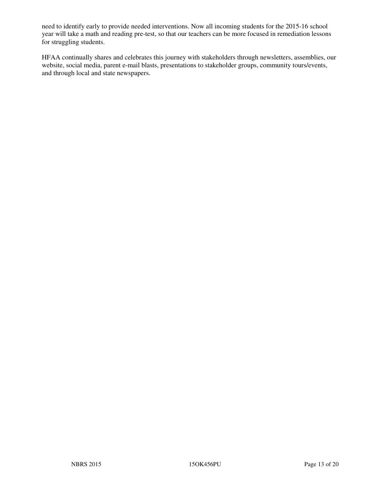need to identify early to provide needed interventions. Now all incoming students for the 2015-16 school year will take a math and reading pre-test, so that our teachers can be more focused in remediation lessons for struggling students.

HFAA continually shares and celebrates this journey with stakeholders through newsletters, assemblies, our website, social media, parent e-mail blasts, presentations to stakeholder groups, community tours/events, and through local and state newspapers.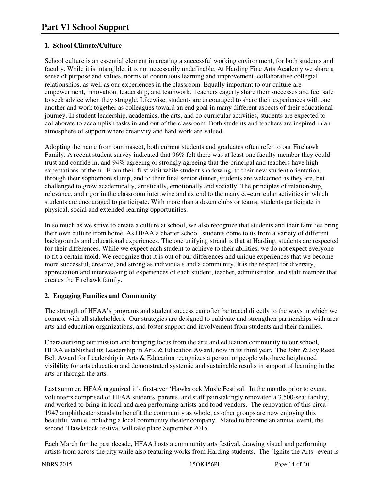# **1. School Climate/Culture**

School culture is an essential element in creating a successful working environment, for both students and faculty. While it is intangible, it is not necessarily undefinable. At Harding Fine Arts Academy we share a sense of purpose and values, norms of continuous learning and improvement, collaborative collegial relationships, as well as our experiences in the classroom. Equally important to our culture are empowerment, innovation, leadership, and teamwork. Teachers eagerly share their successes and feel safe to seek advice when they struggle. Likewise, students are encouraged to share their experiences with one another and work together as colleagues toward an end goal in many different aspects of their educational journey. In student leadership, academics, the arts, and co-curricular activities, students are expected to collaborate to accomplish tasks in and out of the classroom. Both students and teachers are inspired in an atmosphere of support where creativity and hard work are valued.

Adopting the name from our mascot, both current students and graduates often refer to our Firehawk Family. A recent student survey indicated that 96% felt there was at least one faculty member they could trust and confide in, and 94% agreeing or strongly agreeing that the principal and teachers have high expectations of them. From their first visit while student shadowing, to their new student orientation, through their sophomore slump, and to their final senior dinner, students are welcomed as they are, but challenged to grow academically, artistically, emotionally and socially. The principles of relationship, relevance, and rigor in the classroom intertwine and extend to the many co-curricular activities in which students are encouraged to participate. With more than a dozen clubs or teams, students participate in physical, social and extended learning opportunities.

In so much as we strive to create a culture at school, we also recognize that students and their families bring their own culture from home. As HFAA a charter school, students come to us from a variety of different backgrounds and educational experiences. The one unifying strand is that at Harding, students are respected for their differences. While we expect each student to achieve to their abilities, we do not expect everyone to fit a certain mold. We recognize that it is out of our differences and unique experiences that we become more successful, creative, and strong as individuals and a community. It is the respect for diversity, appreciation and interweaving of experiences of each student, teacher, administrator, and staff member that creates the Firehawk family.

# **2. Engaging Families and Community**

The strength of HFAA's programs and student success can often be traced directly to the ways in which we connect with all stakeholders. Our strategies are designed to cultivate and strengthen partnerships with area arts and education organizations, and foster support and involvement from students and their families.

Characterizing our mission and bringing focus from the arts and education community to our school, HFAA established its Leadership in Arts & Education Award, now in its third year. The John & Joy Reed Belt Award for Leadership in Arts & Education recognizes a person or people who have heightened visibility for arts education and demonstrated systemic and sustainable results in support of learning in the arts or through the arts.

Last summer, HFAA organized it's first-ever 'Hawkstock Music Festival. In the months prior to event, volunteers comprised of HFAA students, parents, and staff painstakingly renovated a 3,500-seat facility, and worked to bring in local and area performing artists and food vendors. The renovation of this circa-1947 amphitheater stands to benefit the community as whole, as other groups are now enjoying this beautiful venue, including a local community theater company. Slated to become an annual event, the second 'Hawkstock festival will take place September 2015.

Each March for the past decade, HFAA hosts a community arts festival, drawing visual and performing artists from across the city while also featuring works from Harding students. The "Ignite the Arts" event is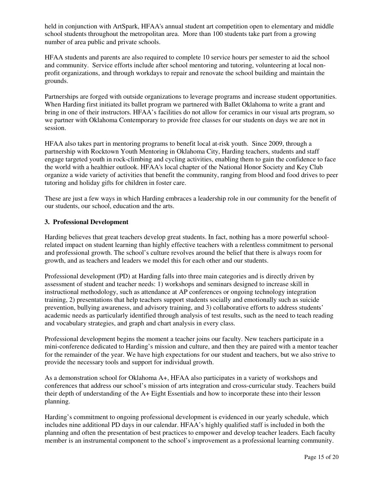held in conjunction with ArtSpark, HFAA's annual student art competition open to elementary and middle school students throughout the metropolitan area. More than 100 students take part from a growing number of area public and private schools.

HFAA students and parents are also required to complete 10 service hours per semester to aid the school and community. Service efforts include after school mentoring and tutoring, volunteering at local nonprofit organizations, and through workdays to repair and renovate the school building and maintain the grounds.

Partnerships are forged with outside organizations to leverage programs and increase student opportunities. When Harding first initiated its ballet program we partnered with Ballet Oklahoma to write a grant and bring in one of their instructors. HFAA's facilities do not allow for ceramics in our visual arts program, so we partner with Oklahoma Contemporary to provide free classes for our students on days we are not in session.

HFAA also takes part in mentoring programs to benefit local at-risk youth. Since 2009, through a partnership with Rocktown Youth Mentoring in Oklahoma City, Harding teachers, students and staff engage targeted youth in rock-climbing and cycling activities, enabling them to gain the confidence to face the world with a healthier outlook. HFAA's local chapter of the National Honor Society and Key Club organize a wide variety of activities that benefit the community, ranging from blood and food drives to peer tutoring and holiday gifts for children in foster care.

These are just a few ways in which Harding embraces a leadership role in our community for the benefit of our students, our school, education and the arts.

#### **3. Professional Development**

Harding believes that great teachers develop great students. In fact, nothing has a more powerful schoolrelated impact on student learning than highly effective teachers with a relentless commitment to personal and professional growth. The school's culture revolves around the belief that there is always room for growth, and as teachers and leaders we model this for each other and our students.

Professional development (PD) at Harding falls into three main categories and is directly driven by assessment of student and teacher needs: 1) workshops and seminars designed to increase skill in instructional methodology, such as attendance at AP conferences or ongoing technology integration training, 2) presentations that help teachers support students socially and emotionally such as suicide prevention, bullying awareness, and advisory training, and 3) collaborative efforts to address students' academic needs as particularly identified through analysis of test results, such as the need to teach reading and vocabulary strategies, and graph and chart analysis in every class.

Professional development begins the moment a teacher joins our faculty. New teachers participate in a mini-conference dedicated to Harding's mission and culture, and then they are paired with a mentor teacher for the remainder of the year. We have high expectations for our student and teachers, but we also strive to provide the necessary tools and support for individual growth.

As a demonstration school for Oklahoma A+, HFAA also participates in a variety of workshops and conferences that address our school's mission of arts integration and cross-curricular study. Teachers build their depth of understanding of the A+ Eight Essentials and how to incorporate these into their lesson planning.

Harding's commitment to ongoing professional development is evidenced in our yearly schedule, which includes nine additional PD days in our calendar. HFAA's highly qualified staff is included in both the planning and often the presentation of best practices to empower and develop teacher leaders. Each faculty member is an instrumental component to the school's improvement as a professional learning community.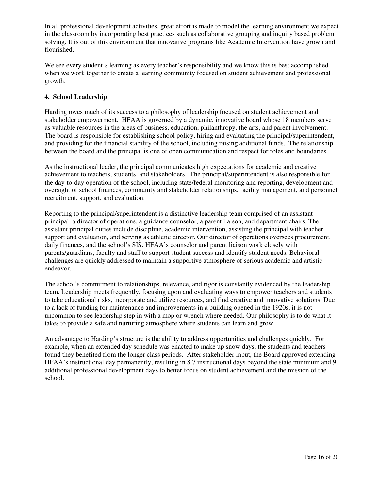In all professional development activities, great effort is made to model the learning environment we expect in the classroom by incorporating best practices such as collaborative grouping and inquiry based problem solving. It is out of this environment that innovative programs like Academic Intervention have grown and flourished.

We see every student's learning as every teacher's responsibility and we know this is best accomplished when we work together to create a learning community focused on student achievement and professional growth.

#### **4. School Leadership**

Harding owes much of its success to a philosophy of leadership focused on student achievement and stakeholder empowerment. HFAA is governed by a dynamic, innovative board whose 18 members serve as valuable resources in the areas of business, education, philanthropy, the arts, and parent involvement. The board is responsible for establishing school policy, hiring and evaluating the principal/superintendent, and providing for the financial stability of the school, including raising additional funds. The relationship between the board and the principal is one of open communication and respect for roles and boundaries.

As the instructional leader, the principal communicates high expectations for academic and creative achievement to teachers, students, and stakeholders. The principal/superintendent is also responsible for the day-to-day operation of the school, including state/federal monitoring and reporting, development and oversight of school finances, community and stakeholder relationships, facility management, and personnel recruitment, support, and evaluation.

Reporting to the principal/superintendent is a distinctive leadership team comprised of an assistant principal, a director of operations, a guidance counselor, a parent liaison, and department chairs. The assistant principal duties include discipline, academic intervention, assisting the principal with teacher support and evaluation, and serving as athletic director. Our director of operations oversees procurement, daily finances, and the school's SIS. HFAA's counselor and parent liaison work closely with parents/guardians, faculty and staff to support student success and identify student needs. Behavioral challenges are quickly addressed to maintain a supportive atmosphere of serious academic and artistic endeavor.

The school's commitment to relationships, relevance, and rigor is constantly evidenced by the leadership team. Leadership meets frequently, focusing upon and evaluating ways to empower teachers and students to take educational risks, incorporate and utilize resources, and find creative and innovative solutions. Due to a lack of funding for maintenance and improvements in a building opened in the 1920s, it is not uncommon to see leadership step in with a mop or wrench where needed. Our philosophy is to do what it takes to provide a safe and nurturing atmosphere where students can learn and grow.

An advantage to Harding's structure is the ability to address opportunities and challenges quickly. For example, when an extended day schedule was enacted to make up snow days, the students and teachers found they benefited from the longer class periods. After stakeholder input, the Board approved extending HFAA's instructional day permanently, resulting in 8.7 instructional days beyond the state minimum and 9 additional professional development days to better focus on student achievement and the mission of the school.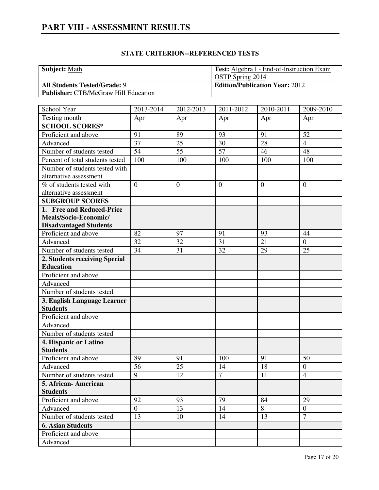# **STATE CRITERION--REFERENCED TESTS**

| <b>Subject:</b> Math                        | Test: Algebra I - End-of-Instruction Exam |  |  |
|---------------------------------------------|-------------------------------------------|--|--|
|                                             | OSTP Spring 2014                          |  |  |
| <b>All Students Tested/Grade: 9</b>         | <b>Edition/Publication Year: 2012</b>     |  |  |
| <b>Publisher:</b> CTB/McGraw Hill Education |                                           |  |  |

| School Year                      | 2013-2014       | 2012-2013      | 2011-2012       | 2010-2011 | 2009-2010        |
|----------------------------------|-----------------|----------------|-----------------|-----------|------------------|
| Testing month                    | Apr             | Apr            | Apr             | Apr       | Apr              |
| <b>SCHOOL SCORES*</b>            |                 |                |                 |           |                  |
| Proficient and above             | 91              | 89             | 93              | 91        | 52               |
| Advanced                         | 37              | 25             | 30              | 28        | $\overline{4}$   |
| Number of students tested        | $\overline{54}$ | 55             | $\overline{57}$ | 46        | 48               |
| Percent of total students tested | 100             | 100            | 100             | 100       | 100              |
| Number of students tested with   |                 |                |                 |           |                  |
| alternative assessment           |                 |                |                 |           |                  |
| % of students tested with        | $\overline{0}$  | $\overline{0}$ | $\overline{0}$  | $\theta$  | $\overline{0}$   |
| alternative assessment           |                 |                |                 |           |                  |
| <b>SUBGROUP SCORES</b>           |                 |                |                 |           |                  |
| 1. Free and Reduced-Price        |                 |                |                 |           |                  |
| Meals/Socio-Economic/            |                 |                |                 |           |                  |
| <b>Disadvantaged Students</b>    |                 |                |                 |           |                  |
| Proficient and above             | 82              | 97             | 91              | 93        | 44               |
| Advanced                         | 32              | 32             | 31              | 21        | $\overline{0}$   |
| Number of students tested        | 34              | 31             | 32              | 29        | 25               |
| 2. Students receiving Special    |                 |                |                 |           |                  |
| <b>Education</b>                 |                 |                |                 |           |                  |
| Proficient and above             |                 |                |                 |           |                  |
| Advanced                         |                 |                |                 |           |                  |
| Number of students tested        |                 |                |                 |           |                  |
| 3. English Language Learner      |                 |                |                 |           |                  |
| <b>Students</b>                  |                 |                |                 |           |                  |
| Proficient and above             |                 |                |                 |           |                  |
| Advanced                         |                 |                |                 |           |                  |
| Number of students tested        |                 |                |                 |           |                  |
| 4. Hispanic or Latino            |                 |                |                 |           |                  |
| <b>Students</b>                  |                 |                |                 |           |                  |
| Proficient and above             | 89              | 91             | 100             | 91        | 50               |
| Advanced                         | 56              | 25             | 14              | 18        | $\boldsymbol{0}$ |
| Number of students tested        | $\overline{9}$  | 12             | $\overline{7}$  | 11        | $\overline{4}$   |
| 5. African- American             |                 |                |                 |           |                  |
| <b>Students</b>                  |                 |                |                 |           |                  |
| Proficient and above             | 92              | 93             | 79              | 84        | 29               |
| Advanced                         | $\overline{0}$  | 13             | 14              | 8         | $\boldsymbol{0}$ |
| Number of students tested        | 13              | 10             | 14              | 13        | $\overline{7}$   |
| <b>6. Asian Students</b>         |                 |                |                 |           |                  |
| Proficient and above             |                 |                |                 |           |                  |
| Advanced                         |                 |                |                 |           |                  |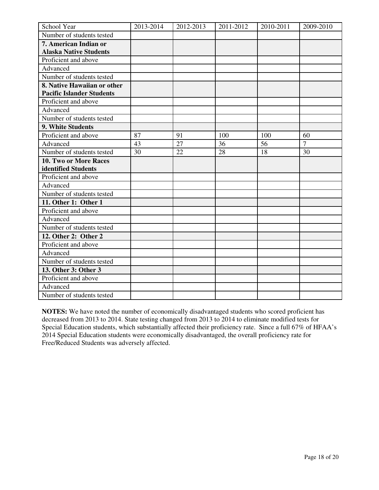| School Year                      | 2013-2014 | 2012-2013 | 2011-2012 | 2010-2011 | 2009-2010      |
|----------------------------------|-----------|-----------|-----------|-----------|----------------|
| Number of students tested        |           |           |           |           |                |
| 7. American Indian or            |           |           |           |           |                |
| <b>Alaska Native Students</b>    |           |           |           |           |                |
| Proficient and above             |           |           |           |           |                |
| Advanced                         |           |           |           |           |                |
| Number of students tested        |           |           |           |           |                |
| 8. Native Hawaiian or other      |           |           |           |           |                |
| <b>Pacific Islander Students</b> |           |           |           |           |                |
| Proficient and above             |           |           |           |           |                |
| Advanced                         |           |           |           |           |                |
| Number of students tested        |           |           |           |           |                |
| 9. White Students                |           |           |           |           |                |
| Proficient and above             | 87        | 91        | 100       | 100       | 60             |
| Advanced                         | 43        | 27        | 36        | 56        | $\overline{7}$ |
| Number of students tested        | 30        | 22        | 28        | 18        | 30             |
| 10. Two or More Races            |           |           |           |           |                |
| identified Students              |           |           |           |           |                |
| Proficient and above             |           |           |           |           |                |
| Advanced                         |           |           |           |           |                |
| Number of students tested        |           |           |           |           |                |
| 11. Other 1: Other 1             |           |           |           |           |                |
| Proficient and above             |           |           |           |           |                |
| Advanced                         |           |           |           |           |                |
| Number of students tested        |           |           |           |           |                |
| 12. Other 2: Other 2             |           |           |           |           |                |
| Proficient and above             |           |           |           |           |                |
| Advanced                         |           |           |           |           |                |
| Number of students tested        |           |           |           |           |                |
| 13. Other 3: Other 3             |           |           |           |           |                |
| Proficient and above             |           |           |           |           |                |
| Advanced                         |           |           |           |           |                |
| Number of students tested        |           |           |           |           |                |

**NOTES:** We have noted the number of economically disadvantaged students who scored proficient has decreased from 2013 to 2014. State testing changed from 2013 to 2014 to eliminate modified tests for Special Education students, which substantially affected their proficiency rate. Since a full 67% of HFAA's 2014 Special Education students were economically disadvantaged, the overall proficiency rate for Free/Reduced Students was adversely affected.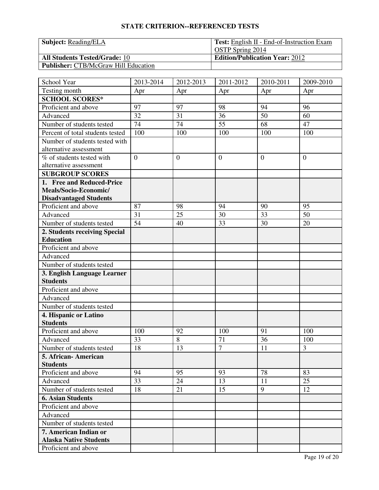# **STATE CRITERION--REFERENCED TESTS**

| <b>Subject:</b> Reading/ELA                 | <b>Test:</b> English II - End-of-Instruction Exam |
|---------------------------------------------|---------------------------------------------------|
|                                             | OSTP Spring 2014                                  |
| <b>All Students Tested/Grade: 10</b>        | <b>Edition/Publication Year: 2012</b>             |
| <b>Publisher: CTB/McGraw Hill Education</b> |                                                   |

| School Year                                    | 2013-2014      | 2012-2013        | 2011-2012        | 2010-2011      | 2009-2010      |
|------------------------------------------------|----------------|------------------|------------------|----------------|----------------|
| Testing month                                  | Apr            | Apr              | Apr              | Apr            | Apr            |
| <b>SCHOOL SCORES*</b>                          |                |                  |                  |                |                |
| Proficient and above                           | 97             | 97               | 98               | 94             | 96             |
| Advanced                                       | 32             | 31               | 36               | 50             | 60             |
| Number of students tested                      | 74             | 74               | 55               | 68             | 47             |
| Percent of total students tested               | 100            | 100              | 100              | 100            | 100            |
| Number of students tested with                 |                |                  |                  |                |                |
| alternative assessment                         |                |                  |                  |                |                |
| % of students tested with                      | $\overline{0}$ | $\boldsymbol{0}$ | $\boldsymbol{0}$ | $\overline{0}$ | $\overline{0}$ |
| alternative assessment                         |                |                  |                  |                |                |
| <b>SUBGROUP SCORES</b>                         |                |                  |                  |                |                |
| 1. Free and Reduced-Price                      |                |                  |                  |                |                |
| Meals/Socio-Economic/                          |                |                  |                  |                |                |
| <b>Disadvantaged Students</b>                  |                |                  |                  |                |                |
| Proficient and above                           | 87             | 98               | 94               | 90             | 95             |
| Advanced                                       | 31             | 25               | 30               | 33             | 50             |
| Number of students tested                      | 54             | 40               | 33               | 30             | 20             |
| 2. Students receiving Special                  |                |                  |                  |                |                |
| <b>Education</b>                               |                |                  |                  |                |                |
| Proficient and above                           |                |                  |                  |                |                |
| Advanced                                       |                |                  |                  |                |                |
| Number of students tested                      |                |                  |                  |                |                |
| 3. English Language Learner<br><b>Students</b> |                |                  |                  |                |                |
| Proficient and above                           |                |                  |                  |                |                |
| Advanced                                       |                |                  |                  |                |                |
|                                                |                |                  |                  |                |                |
| Number of students tested                      |                |                  |                  |                |                |
| 4. Hispanic or Latino<br><b>Students</b>       |                |                  |                  |                |                |
| Proficient and above                           | 100            | 92               | 100              | 91             | 100            |
| Advanced                                       | 33             | $\overline{8}$   | 71               | 36             | 100            |
| Number of students tested                      | 18             | 13               | $\overline{7}$   | 11             | 3              |
| 5. African-American                            |                |                  |                  |                |                |
| <b>Students</b>                                |                |                  |                  |                |                |
| Proficient and above                           | 94             | 95               | 93               | 78             | 83             |
| Advanced                                       | 33             | 24               | 13               | 11             | 25             |
| Number of students tested                      | 18             | 21               | 15               | 9              | 12             |
| <b>6. Asian Students</b>                       |                |                  |                  |                |                |
| Proficient and above                           |                |                  |                  |                |                |
| Advanced                                       |                |                  |                  |                |                |
| Number of students tested                      |                |                  |                  |                |                |
| 7. American Indian or                          |                |                  |                  |                |                |
| <b>Alaska Native Students</b>                  |                |                  |                  |                |                |
| Proficient and above                           |                |                  |                  |                |                |